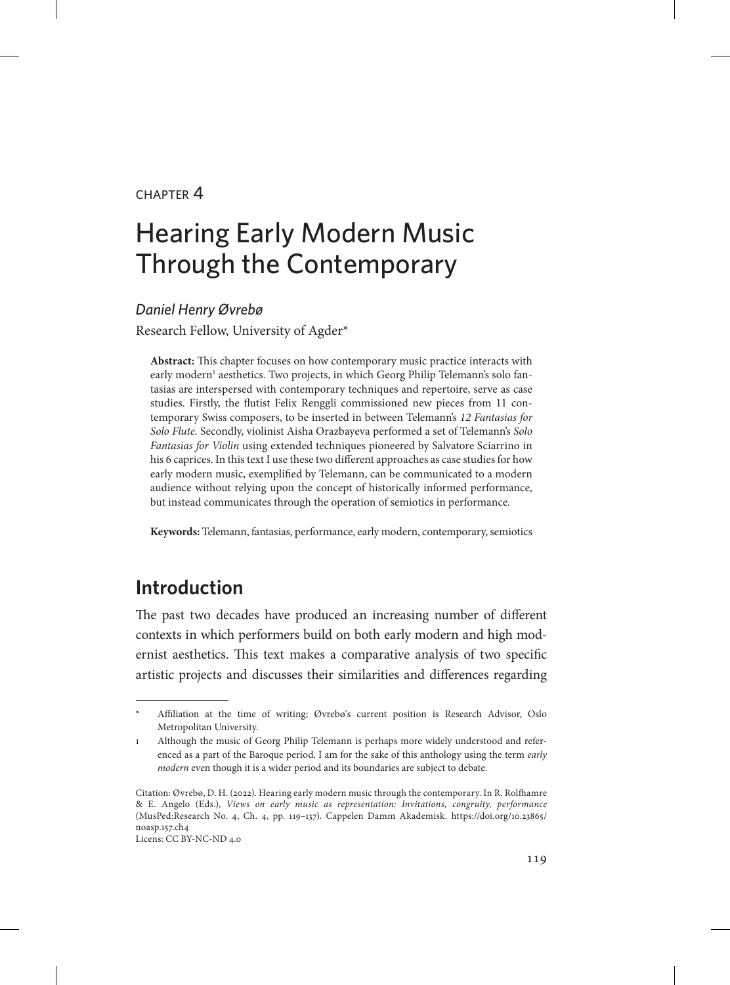### chapter 4

# Hearing Early Modern Music Through the Contemporary

#### *Daniel Henry Øvrebø*

Research Fellow, University of Agder\*

**Abstract:** This chapter focuses on how contemporary music practice interacts with early modern<sup>1</sup> aesthetics. Two projects, in which Georg Philip Telemann's solo fantasias are interspersed with contemporary techniques and repertoire, serve as case studies. Firstly, the flutist Felix Renggli commissioned new pieces from 11 contemporary Swiss composers, to be inserted in between Telemann's *12 Fantasias for Solo Flute*. Secondly, violinist Aisha Orazbayeva performed a set of Telemann's *Solo Fantasias for Violin* using extended techniques pioneered by Salvatore Sciarrino in his 6 caprices. In this text I use these two different approaches as case studies for how early modern music, exemplified by Telemann, can be communicated to a modern audience without relying upon the concept of historically informed performance, but instead communicates through the operation of semiotics in performance.

**Keywords:** Telemann, fantasias, performance, early modern, contemporary, semiotics

## **Introduction**

The past two decades have produced an increasing number of different contexts in which performers build on both early modern and high modernist aesthetics. This text makes a comparative analysis of two specific artistic projects and discusses their similarities and differences regarding

Licens: CC BY-NC-ND 4.0

Affiliation at the time of writing; Øvrebø's current position is Research Advisor, Oslo Metropolitan University.

<sup>1</sup> Although the music of Georg Philip Telemann is perhaps more widely understood and referenced as a part of the Baroque period, I am for the sake of this anthology using the term *early modern* even though it is a wider period and its boundaries are subject to debate.

Citation: Øvrebø, D. H. (2022). Hearing early modern music through the contemporary. In R. Rolfhamre & E. Angelo (Eds.), *Views on early music as representation: Invitations, congruity, performance*  (MusPed:Research No. 4, Ch. 4, pp. 119–137). Cappelen Damm Akademisk. [https://doi.org/10.23865/](https://doi.org/10.23865/noasp.157.ch4) [noasp.157.ch4](https://doi.org/10.23865/noasp.157.ch4)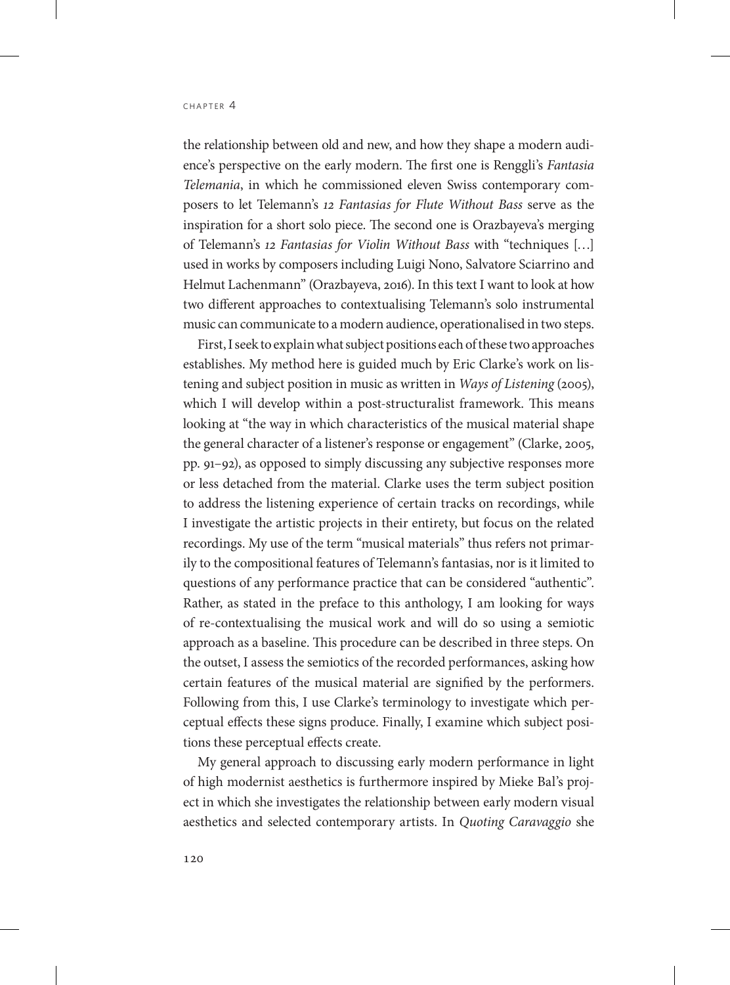the relationship between old and new, and how they shape a modern audience's perspective on the early modern. The first one is Renggli's *Fantasia Telemania*, in which he commissioned eleven Swiss contemporary composers to let Telemann's *12 Fantasias for Flute Without Bass* serve as the inspiration for a short solo piece. The second one is Orazbayeva's merging of Telemann's *12 Fantasias for Violin Without Bass* with "techniques […] used in works by composers including Luigi Nono, Salvatore Sciarrino and Helmut Lachenmann" (Orazbayeva, 2016). In this text I want to look at how two different approaches to contextualising Telemann's solo instrumental music can communicate to a modern audience, operationalised in two steps.

First, I seek to explain what subject positions each of these two approaches establishes. My method here is guided much by Eric Clarke's work on listening and subject position in music as written in *Ways of Listening* (2005), which I will develop within a post-structuralist framework. This means looking at "the way in which characteristics of the musical material shape the general character of a listener's response or engagement" (Clarke, 2005, pp. 91–92), as opposed to simply discussing any subjective responses more or less detached from the material. Clarke uses the term subject position to address the listening experience of certain tracks on recordings, while I investigate the artistic projects in their entirety, but focus on the related recordings. My use of the term "musical materials" thus refers not primarily to the compositional features of Telemann's fantasias, nor is it limited to questions of any performance practice that can be considered "authentic". Rather, as stated in the preface to this anthology, I am looking for ways of re-contextualising the musical work and will do so using a semiotic approach as a baseline. This procedure can be described in three steps. On the outset, I assess the semiotics of the recorded performances, asking how certain features of the musical material are signified by the performers. Following from this, I use Clarke's terminology to investigate which perceptual effects these signs produce. Finally, I examine which subject positions these perceptual effects create.

My general approach to discussing early modern performance in light of high modernist aesthetics is furthermore inspired by Mieke Bal's project in which she investigates the relationship between early modern visual aesthetics and selected contemporary artists. In *Quoting Caravaggio* she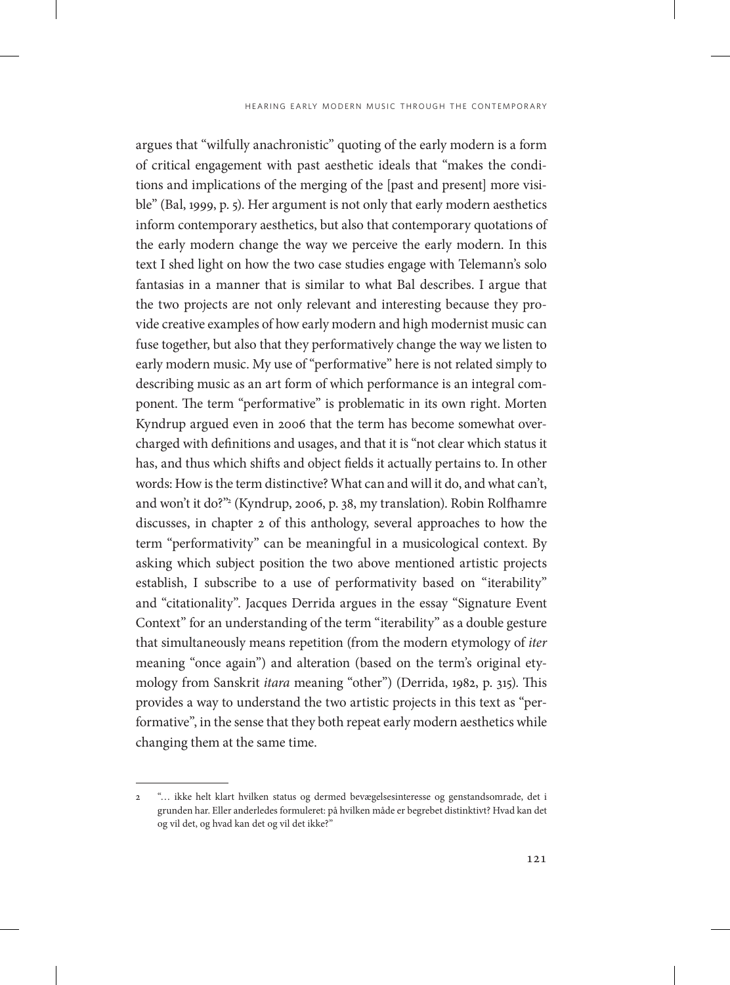argues that "wilfully anachronistic" quoting of the early modern is a form of critical engagement with past aesthetic ideals that "makes the conditions and implications of the merging of the [past and present] more visible" (Bal, 1999, p. 5). Her argument is not only that early modern aesthetics inform contemporary aesthetics, but also that contemporary quotations of the early modern change the way we perceive the early modern. In this text I shed light on how the two case studies engage with Telemann's solo fantasias in a manner that is similar to what Bal describes. I argue that the two projects are not only relevant and interesting because they provide creative examples of how early modern and high modernist music can fuse together, but also that they performatively change the way we listen to early modern music. My use of "performative" here is not related simply to describing music as an art form of which performance is an integral component. The term "performative" is problematic in its own right. Morten Kyndrup argued even in 2006 that the term has become somewhat overcharged with definitions and usages, and that it is "not clear which status it has, and thus which shifts and object fields it actually pertains to. In other words: How is the term distinctive? What can and will it do, and what can't, and won't it do?"2 (Kyndrup, 2006, p. 38, my translation). Robin Rolfhamre discusses, in chapter 2 of this anthology, several approaches to how the term "performativity" can be meaningful in a musicological context. By asking which subject position the two above mentioned artistic projects establish, I subscribe to a use of performativity based on "iterability" and "citationality". Jacques Derrida argues in the essay "Signature Event Context" for an understanding of the term "iterability" as a double gesture that simultaneously means repetition (from the modern etymology of *iter* meaning "once again") and alteration (based on the term's original etymology from Sanskrit *itara* meaning "other") (Derrida, 1982, p. 315). This provides a way to understand the two artistic projects in this text as "performative", in the sense that they both repeat early modern aesthetics while changing them at the same time.

<sup>2</sup> "… ikke helt klart hvilken status og dermed bevægelsesinteresse og genstandsomrade, det i grunden har. Eller anderledes formuleret: på hvilken måde er begrebet distinktivt? Hvad kan det og vil det, og hvad kan det og vil det ikke?"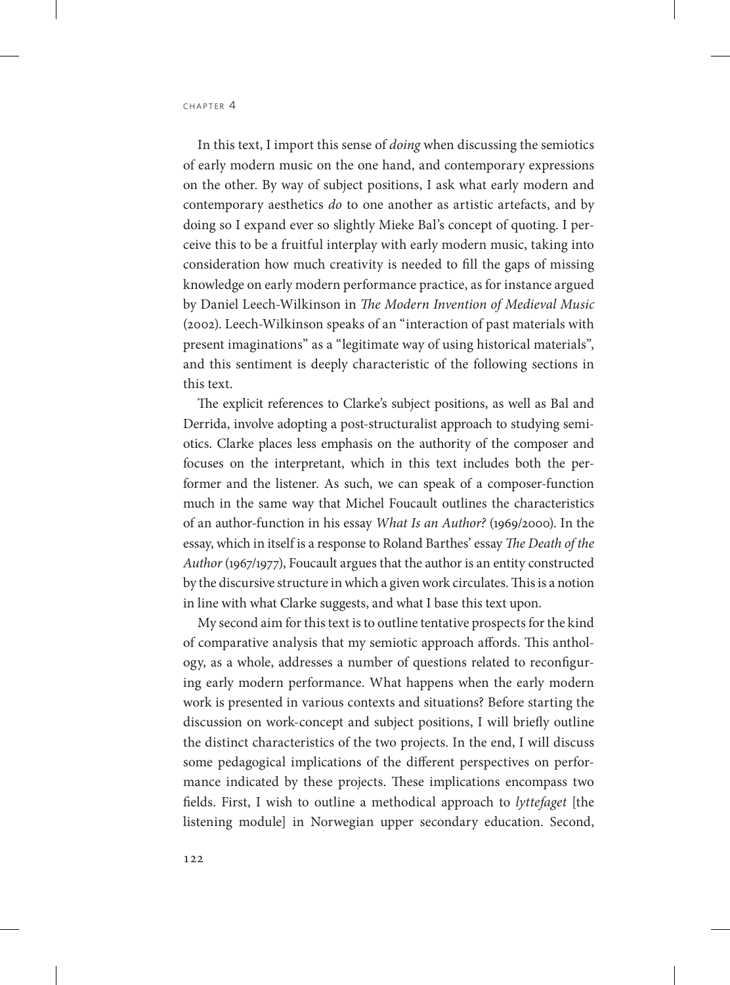In this text, I import this sense of *doing* when discussing the semiotics of early modern music on the one hand, and contemporary expressions on the other. By way of subject positions, I ask what early modern and contemporary aesthetics *do* to one another as artistic artefacts, and by doing so I expand ever so slightly Mieke Bal's concept of quoting. I perceive this to be a fruitful interplay with early modern music, taking into consideration how much creativity is needed to fill the gaps of missing knowledge on early modern performance practice, as for instance argued by Daniel Leech-Wilkinson in *The Modern Invention of Medieval Music* (2002). Leech-Wilkinson speaks of an "interaction of past materials with present imaginations" as a "legitimate way of using historical materials", and this sentiment is deeply characteristic of the following sections in this text.

The explicit references to Clarke's subject positions, as well as Bal and Derrida, involve adopting a post-structuralist approach to studying semiotics. Clarke places less emphasis on the authority of the composer and focuses on the interpretant, which in this text includes both the performer and the listener. As such, we can speak of a composer-function much in the same way that Michel Foucault outlines the characteristics of an author-function in his essay *What Is an Author?* (1969/2000). In the essay, which in itself is a response to Roland Barthes' essay *The Death of the Author* (1967/1977), Foucault argues that the author is an entity constructed by the discursive structure in which a given work circulates. This is a notion in line with what Clarke suggests, and what I base this text upon.

My second aim for this text is to outline tentative prospects for the kind of comparative analysis that my semiotic approach affords. This anthology, as a whole, addresses a number of questions related to reconfiguring early modern performance. What happens when the early modern work is presented in various contexts and situations? Before starting the discussion on work-concept and subject positions, I will briefly outline the distinct characteristics of the two projects. In the end, I will discuss some pedagogical implications of the different perspectives on performance indicated by these projects. These implications encompass two fields. First, I wish to outline a methodical approach to *lyttefaget* [the listening module] in Norwegian upper secondary education. Second,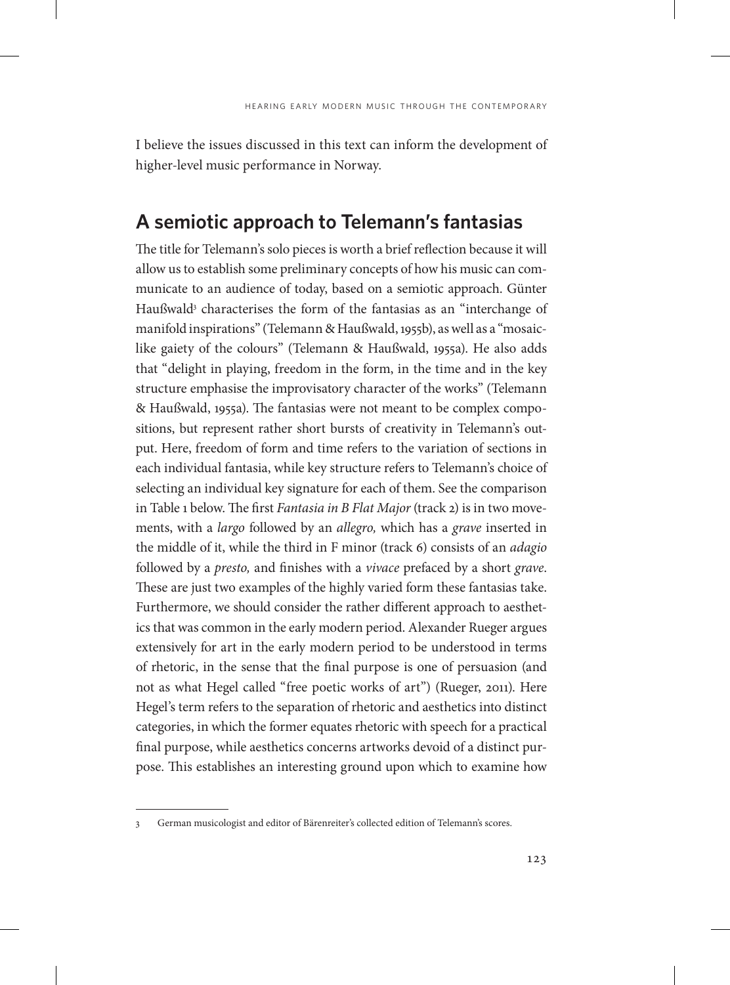I believe the issues discussed in this text can inform the development of higher-level music performance in Norway.

## **A semiotic approach to Telemann's fantasias**

The title for Telemann's solo pieces is worth a brief reflection because it will allow us to establish some preliminary concepts of how his music can communicate to an audience of today, based on a semiotic approach. Günter Haußwald3 characterises the form of the fantasias as an "interchange of manifold inspirations" (Telemann & Haußwald, 1955b), as well as a "mosaiclike gaiety of the colours" (Telemann & Haußwald, 1955a). He also adds that "delight in playing, freedom in the form, in the time and in the key structure emphasise the improvisatory character of the works" (Telemann & Haußwald, 1955a). The fantasias were not meant to be complex compositions, but represent rather short bursts of creativity in Telemann's output. Here, freedom of form and time refers to the variation of sections in each individual fantasia, while key structure refers to Telemann's choice of selecting an individual key signature for each of them. See the comparison in Table 1 below. The first *Fantasia in B Flat Major* (track 2) is in two movements, with a *largo* followed by an *allegro,* which has a *grave* inserted in the middle of it, while the third in F minor (track 6) consists of an *adagio* followed by a *presto,* and finishes with a *vivace* prefaced by a short *grave*. These are just two examples of the highly varied form these fantasias take. Furthermore, we should consider the rather different approach to aesthetics that was common in the early modern period. Alexander Rueger argues extensively for art in the early modern period to be understood in terms of rhetoric, in the sense that the final purpose is one of persuasion (and not as what Hegel called "free poetic works of art") (Rueger, 2011). Here Hegel's term refers to the separation of rhetoric and aesthetics into distinct categories, in which the former equates rhetoric with speech for a practical final purpose, while aesthetics concerns artworks devoid of a distinct purpose. This establishes an interesting ground upon which to examine how

<sup>3</sup> German musicologist and editor of Bärenreiter's collected edition of Telemann's scores.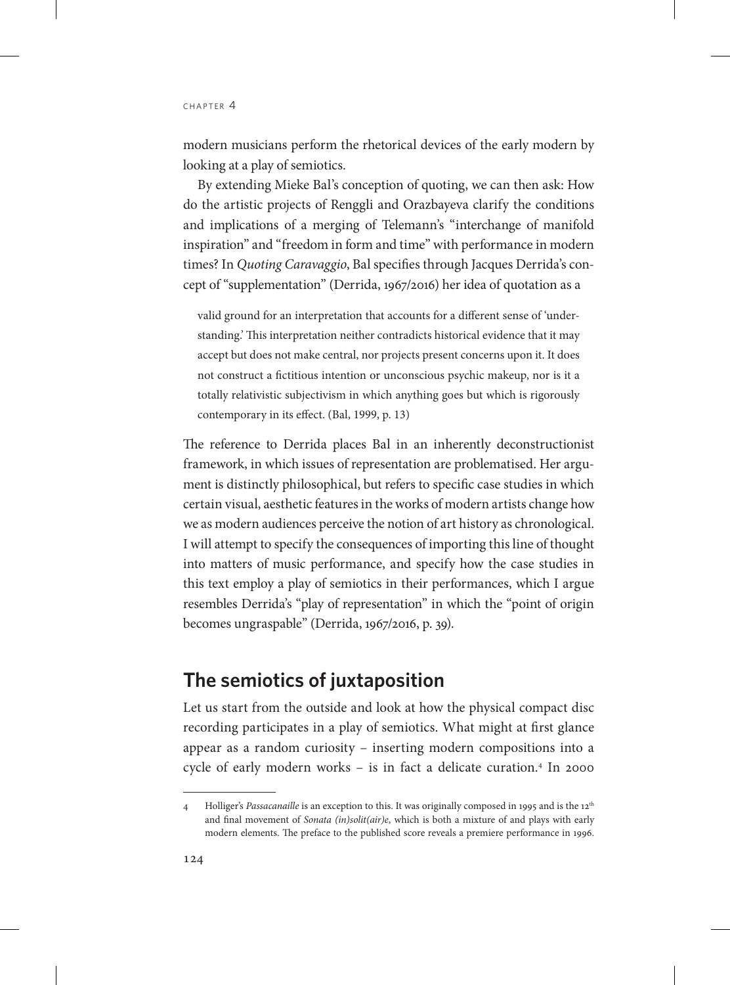modern musicians perform the rhetorical devices of the early modern by looking at a play of semiotics.

By extending Mieke Bal's conception of quoting, we can then ask: How do the artistic projects of Renggli and Orazbayeva clarify the conditions and implications of a merging of Telemann's "interchange of manifold inspiration" and "freedom in form and time" with performance in modern times? In *Quoting Caravaggio*, Bal specifies through Jacques Derrida's concept of "supplementation" (Derrida, 1967/2016) her idea of quotation as a

valid ground for an interpretation that accounts for a different sense of 'understanding.' This interpretation neither contradicts historical evidence that it may accept but does not make central, nor projects present concerns upon it. It does not construct a fictitious intention or unconscious psychic makeup, nor is it a totally relativistic subjectivism in which anything goes but which is rigorously contemporary in its effect. (Bal, 1999, p. 13)

The reference to Derrida places Bal in an inherently deconstructionist framework, in which issues of representation are problematised. Her argument is distinctly philosophical, but refers to specific case studies in which certain visual, aesthetic features in the works of modern artists change how we as modern audiences perceive the notion of art history as chronological. I will attempt to specify the consequences of importing this line of thought into matters of music performance, and specify how the case studies in this text employ a play of semiotics in their performances, which I argue resembles Derrida's "play of representation" in which the "point of origin becomes ungraspable" (Derrida, 1967/2016, p. 39).

## **The semiotics of juxtaposition**

Let us start from the outside and look at how the physical compact disc recording participates in a play of semiotics. What might at first glance appear as a random curiosity – inserting modern compositions into a cycle of early modern works - is in fact a delicate curation.<sup>4</sup> In 2000

<sup>4</sup> Holliger's *Passacanaille* is an exception to this. It was originally composed in 1995 and is the 12th and final movement of *Sonata (in)solit(air)e*, which is both a mixture of and plays with early modern elements. The preface to the published score reveals a premiere performance in 1996.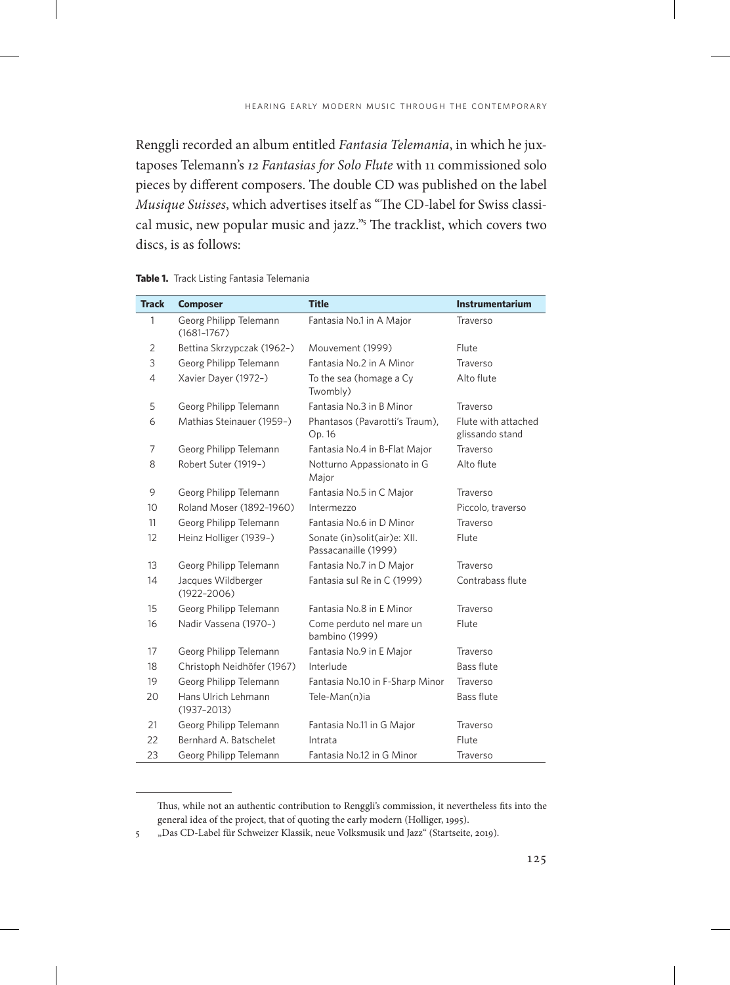Renggli recorded an album entitled *Fantasia Telemania*, in which he juxtaposes Telemann's *12 Fantasias for Solo Flute* with 11 commissioned solo pieces by different composers. The double CD was published on the label *Musique Suisses*, which advertises itself as "The CD-label for Swiss classical music, new popular music and jazz."<sup>5</sup> The tracklist, which covers two discs, is as follows:

| Table 1. Track Listing Fantasia Telemania |  |  |  |  |  |
|-------------------------------------------|--|--|--|--|--|
|-------------------------------------------|--|--|--|--|--|

| <b>Track</b>   | <b>Composer</b>                           | <b>Title</b>                                         | <b>Instrumentarium</b>                 |
|----------------|-------------------------------------------|------------------------------------------------------|----------------------------------------|
| 1              | Georg Philipp Telemann<br>$(1681 - 1767)$ | Fantasia No.1 in A Major                             | Traverso                               |
| $\overline{2}$ | Bettina Skrzypczak (1962-)                | Mouvement (1999)                                     | Flute                                  |
| 3              | Georg Philipp Telemann                    | Fantasia No.2 in A Minor                             | Traverso                               |
| 4              | Xavier Dayer (1972-)                      | To the sea (homage a Cy<br>Twombly)                  | Alto flute                             |
| 5              | Georg Philipp Telemann                    | Fantasia No.3 in B Minor                             | Traverso                               |
| 6              | Mathias Steinauer (1959-)                 | Phantasos (Pavarotti's Traum),<br>Op. 16             | Flute with attached<br>glissando stand |
| 7              | Georg Philipp Telemann                    | Fantasia No.4 in B-Flat Major                        | Traverso                               |
| 8              | Robert Suter (1919-)                      | Notturno Appassionato in G<br>Major                  | Alto flute                             |
| 9              | Georg Philipp Telemann                    | Fantasia No.5 in C Major                             | Traverso                               |
| 10             | Roland Moser (1892-1960)                  | Intermezzo                                           | Piccolo, traverso                      |
| 11             | Georg Philipp Telemann                    | Fantasia No.6 in D Minor                             | Traverso                               |
| 12             | Heinz Holliger (1939-)                    | Sonate (in)solit(air)e: XII.<br>Passacanaille (1999) | Flute                                  |
| 13             | Georg Philipp Telemann                    | Fantasia No.7 in D Major                             | Traverso                               |
| 14             | Jacques Wildberger<br>$(1922 - 2006)$     | Fantasia sul Re in C (1999)                          | Contrabass flute                       |
| 15             | Georg Philipp Telemann                    | Fantasia No.8 in E Minor                             | Traverso                               |
| 16             | Nadir Vassena (1970-)                     | Come perduto nel mare un<br>bambino (1999)           | Flute                                  |
| 17             | Georg Philipp Telemann                    | Fantasia No.9 in E Major                             | Traverso                               |
| 18             | Christoph Neidhöfer (1967)                | Interlude                                            | <b>Bass flute</b>                      |
| 19             | Georg Philipp Telemann                    | Fantasia No.10 in F-Sharp Minor                      | Traverso                               |
| 20             | Hans Ulrich Lehmann<br>$(1937 - 2013)$    | Tele-Man(n)ia                                        | <b>Bass flute</b>                      |
| 21             | Georg Philipp Telemann                    | Fantasia No.11 in G Major                            | Traverso                               |
| 22             | Bernhard A. Batschelet                    | Intrata                                              | Flute                                  |
| 23             | Georg Philipp Telemann                    | Fantasia No.12 in G Minor                            | Traverso                               |

Thus, while not an authentic contribution to Renggli's commission, it nevertheless fits into the general idea of the project, that of quoting the early modern (Holliger, 1995).

<sup>5</sup> "Das CD-Label für Schweizer Klassik, neue Volksmusik und Jazz" (Startseite, 2019).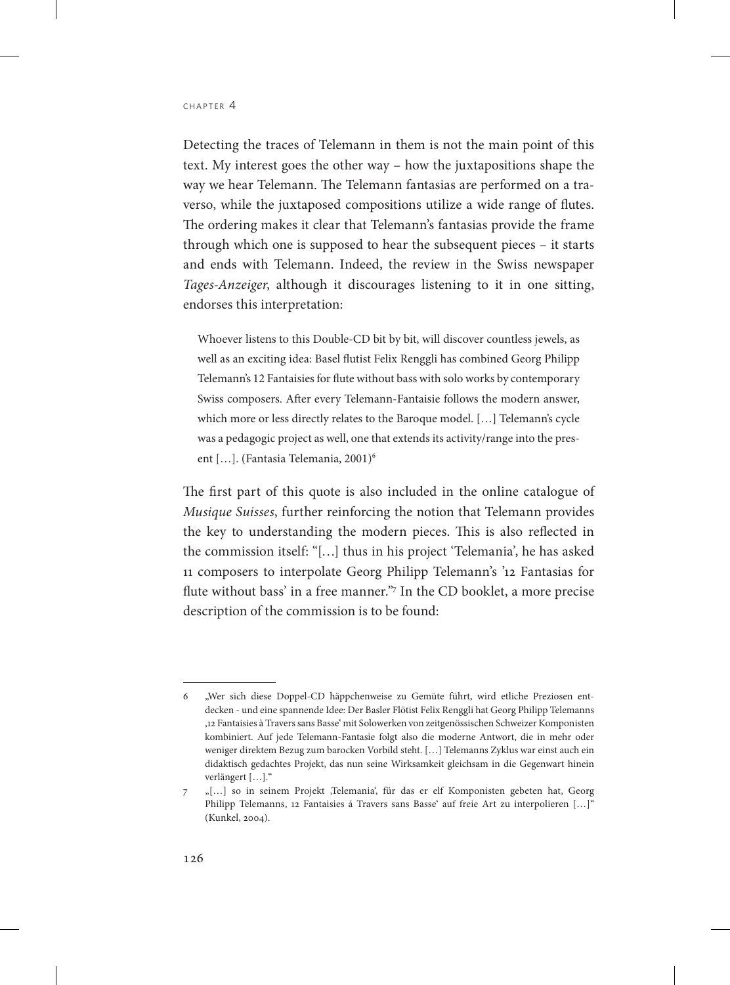Detecting the traces of Telemann in them is not the main point of this text. My interest goes the other way – how the juxtapositions shape the way we hear Telemann. The Telemann fantasias are performed on a traverso, while the juxtaposed compositions utilize a wide range of flutes. The ordering makes it clear that Telemann's fantasias provide the frame through which one is supposed to hear the subsequent pieces – it starts and ends with Telemann. Indeed, the review in the Swiss newspaper *Tages-Anzeiger*, although it discourages listening to it in one sitting, endorses this interpretation:

Whoever listens to this Double-CD bit by bit, will discover countless jewels, as well as an exciting idea: Basel flutist Felix Renggli has combined Georg Philipp Telemann's 12 Fantaisies for flute without bass with solo works by contemporary Swiss composers. After every Telemann-Fantaisie follows the modern answer, which more or less directly relates to the Baroque model. […] Telemann's cycle was a pedagogic project as well, one that extends its activity/range into the present [...]. (Fantasia Telemania, 2001)<sup>6</sup>

The first part of this quote is also included in the online catalogue of *Musique Suisses*, further reinforcing the notion that Telemann provides the key to understanding the modern pieces. This is also reflected in the commission itself: "[…] thus in his project 'Telemania', he has asked 11 composers to interpolate Georg Philipp Telemann's '12 Fantasias for flute without bass' in a free manner."7 In the CD booklet, a more precise description of the commission is to be found:

<sup>6</sup> "Wer sich diese Doppel-CD häppchenweise zu Gemüte führt, wird etliche Preziosen entdecken - und eine spannende Idee: Der Basler Flötist Felix Renggli hat Georg Philipp Telemanns '12 Fantaisies à Travers sans Basse' mit Solowerken von zeitgenössischen Schweizer Komponisten kombiniert. Auf jede Telemann-Fantasie folgt also die moderne Antwort, die in mehr oder weniger direktem Bezug zum barocken Vorbild steht. […] Telemanns Zyklus war einst auch ein didaktisch gedachtes Projekt, das nun seine Wirksamkeit gleichsam in die Gegenwart hinein verlängert […]."

<sup>7</sup> "[…] so in seinem Projekt 'Telemania', für das er elf Komponisten gebeten hat, Georg Philipp Telemanns, 12 Fantaisies á Travers sans Basse' auf freie Art zu interpolieren [...]" (Kunkel, 2004).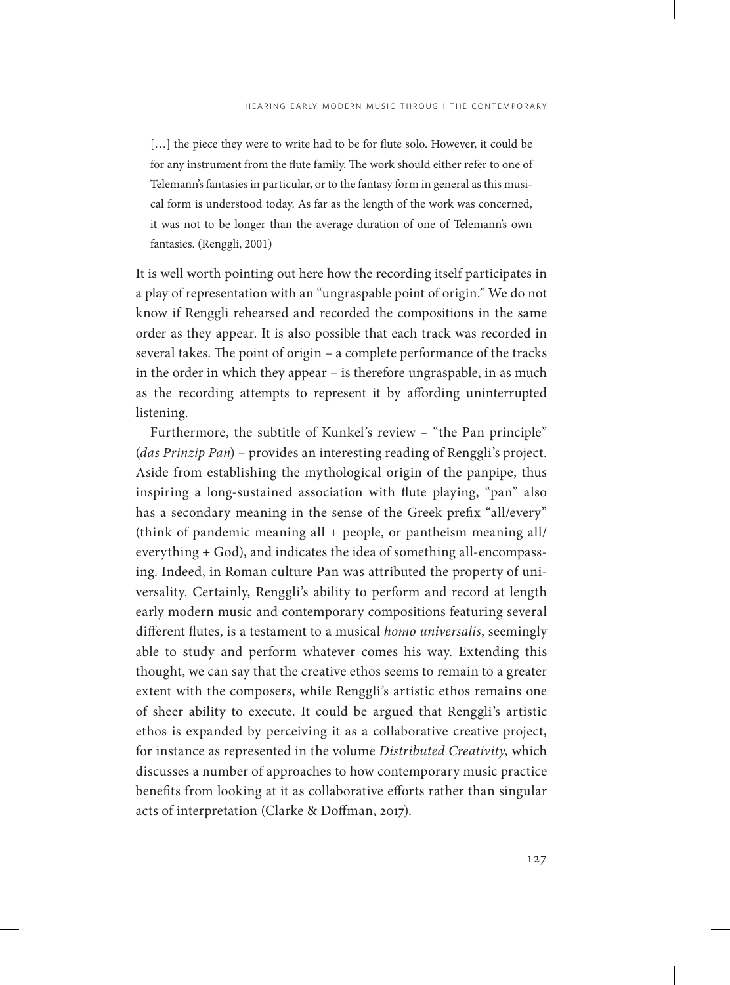[...] the piece they were to write had to be for flute solo. However, it could be for any instrument from the flute family. The work should either refer to one of Telemann's fantasies in particular, or to the fantasy form in general as this musical form is understood today. As far as the length of the work was concerned, it was not to be longer than the average duration of one of Telemann's own fantasies. (Renggli, 2001)

It is well worth pointing out here how the recording itself participates in a play of representation with an "ungraspable point of origin." We do not know if Renggli rehearsed and recorded the compositions in the same order as they appear. It is also possible that each track was recorded in several takes. The point of origin – a complete performance of the tracks in the order in which they appear – is therefore ungraspable, in as much as the recording attempts to represent it by affording uninterrupted listening.

Furthermore, the subtitle of Kunkel's review – "the Pan principle" (*das Prinzip Pan*) – provides an interesting reading of Renggli's project. Aside from establishing the mythological origin of the panpipe, thus inspiring a long-sustained association with flute playing, "pan" also has a secondary meaning in the sense of the Greek prefix "all/every" (think of pandemic meaning all + people, or pantheism meaning all/ everything + God), and indicates the idea of something all-encompassing. Indeed, in Roman culture Pan was attributed the property of universality. Certainly, Renggli's ability to perform and record at length early modern music and contemporary compositions featuring several different flutes, is a testament to a musical *homo universalis*, seemingly able to study and perform whatever comes his way. Extending this thought, we can say that the creative ethos seems to remain to a greater extent with the composers, while Renggli's artistic ethos remains one of sheer ability to execute. It could be argued that Renggli's artistic ethos is expanded by perceiving it as a collaborative creative project, for instance as represented in the volume *Distributed Creativity*, which discusses a number of approaches to how contemporary music practice benefits from looking at it as collaborative efforts rather than singular acts of interpretation (Clarke & Doffman, 2017).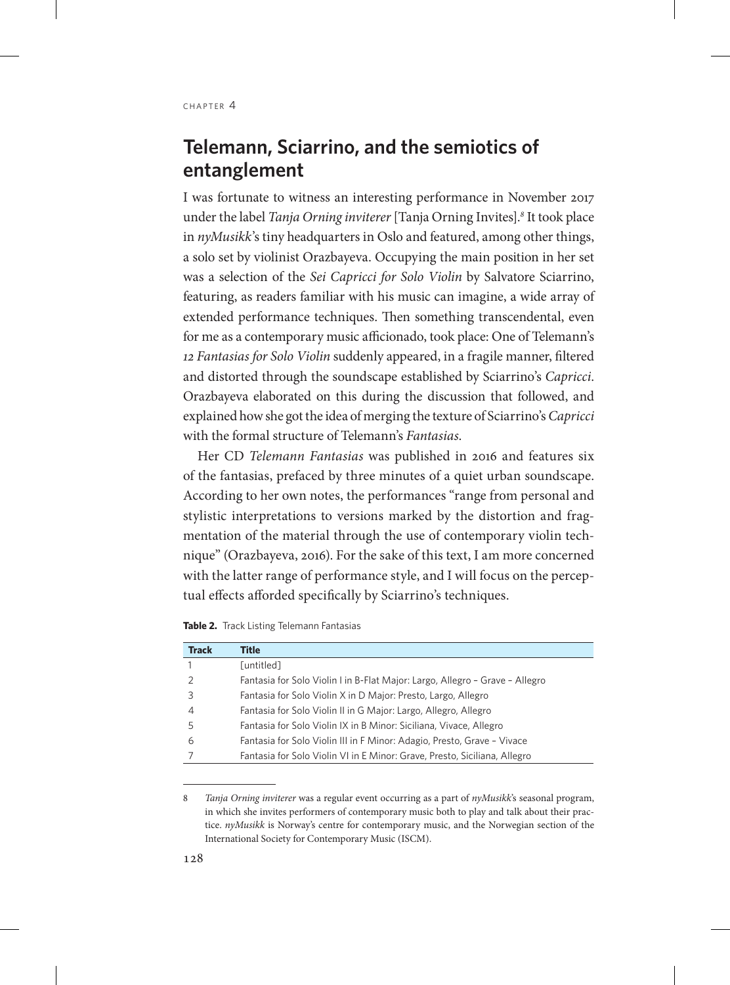# **Telemann, Sciarrino, and the semiotics of entanglement**

I was fortunate to witness an interesting performance in November 2017 under the label *Tanja Orning inviterer* [Tanja Orning Invites].*<sup>8</sup>* It took place in *nyMusikk*'s tiny headquarters in Oslo and featured, among other things, a solo set by violinist Orazbayeva. Occupying the main position in her set was a selection of the *Sei Capricci for Solo Violin* by Salvatore Sciarrino, featuring, as readers familiar with his music can imagine, a wide array of extended performance techniques. Then something transcendental, even for me as a contemporary music afficionado, took place: One of Telemann's *12 Fantasias for Solo Violin* suddenly appeared, in a fragile manner, filtered and distorted through the soundscape established by Sciarrino's *Capricci*. Orazbayeva elaborated on this during the discussion that followed, and explained how she got the idea of merging the texture of Sciarrino's *Capricci* with the formal structure of Telemann's *Fantasias*.

Her CD *Telemann Fantasias* was published in 2016 and features six of the fantasias, prefaced by three minutes of a quiet urban soundscape. According to her own notes, the performances "range from personal and stylistic interpretations to versions marked by the distortion and fragmentation of the material through the use of contemporary violin technique" (Orazbayeva, 2016). For the sake of this text, I am more concerned with the latter range of performance style, and I will focus on the perceptual effects afforded specifically by Sciarrino's techniques.

**Table 2.** Track Listing Telemann Fantasias

| <b>Track</b> | Title                                                                        |
|--------------|------------------------------------------------------------------------------|
|              | [untitled]                                                                   |
|              | Fantasia for Solo Violin I in B-Flat Major: Largo, Allegro - Grave - Allegro |
|              | Fantasia for Solo Violin X in D Major: Presto, Largo, Allegro                |
| 4            | Fantasia for Solo Violin II in G Major: Largo, Allegro, Allegro              |
| 5            | Fantasia for Solo Violin IX in B Minor: Siciliana, Vivace, Allegro           |
| 6            | Fantasia for Solo Violin III in F Minor: Adagio, Presto, Grave - Vivace      |
|              | Fantasia for Solo Violin VI in E Minor: Grave, Presto, Siciliana, Allegro    |

<sup>8</sup> *Tanja Orning inviterer* was a regular event occurring as a part of *nyMusikk*'s seasonal program, in which she invites performers of contemporary music both to play and talk about their practice. *nyMusikk* is Norway's centre for contemporary music, and the Norwegian section of the International Society for Contemporary Music (ISCM).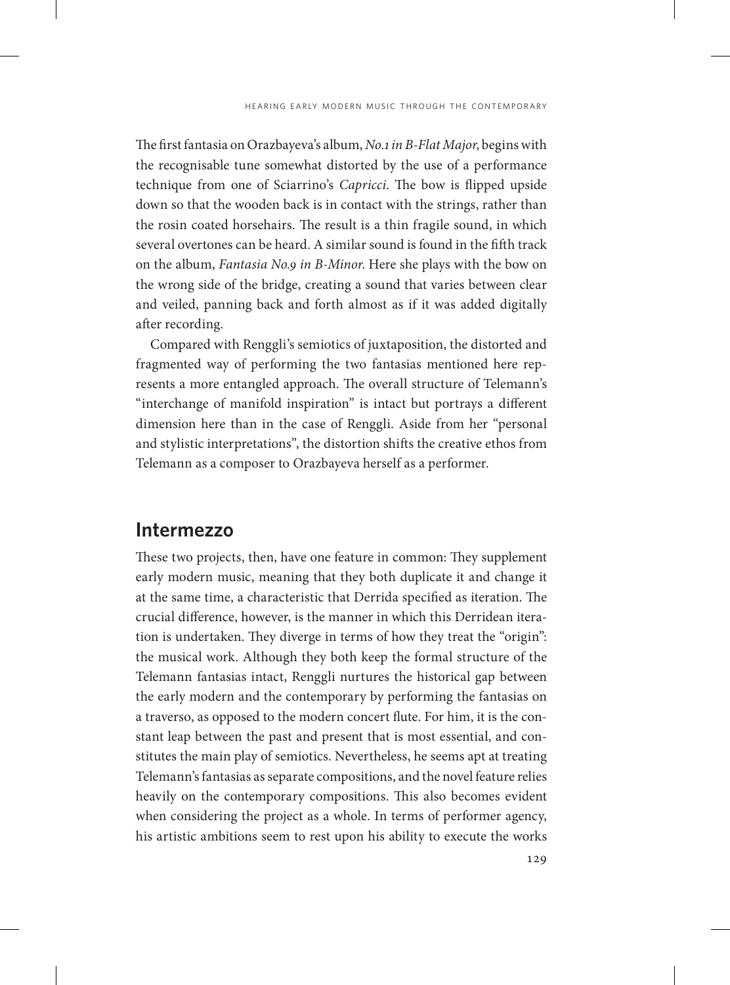The first fantasia on Orazbayeva's album, *No.1 in B-Flat Major*, begins with the recognisable tune somewhat distorted by the use of a performance technique from one of Sciarrino's *Capricci*. The bow is flipped upside down so that the wooden back is in contact with the strings, rather than the rosin coated horsehairs. The result is a thin fragile sound, in which several overtones can be heard. A similar sound is found in the fifth track on the album, *Fantasia No.9 in B-Minor*. Here she plays with the bow on the wrong side of the bridge, creating a sound that varies between clear and veiled, panning back and forth almost as if it was added digitally after recording.

Compared with Renggli's semiotics of juxtaposition, the distorted and fragmented way of performing the two fantasias mentioned here represents a more entangled approach. The overall structure of Telemann's "interchange of manifold inspiration" is intact but portrays a different dimension here than in the case of Renggli. Aside from her "personal and stylistic interpretations", the distortion shifts the creative ethos from Telemann as a composer to Orazbayeva herself as a performer.

## **Intermezzo**

These two projects, then, have one feature in common: They supplement early modern music, meaning that they both duplicate it and change it at the same time, a characteristic that Derrida specified as iteration. The crucial difference, however, is the manner in which this Derridean iteration is undertaken. They diverge in terms of how they treat the "origin": the musical work. Although they both keep the formal structure of the Telemann fantasias intact, Renggli nurtures the historical gap between the early modern and the contemporary by performing the fantasias on a traverso, as opposed to the modern concert flute. For him, it is the constant leap between the past and present that is most essential, and constitutes the main play of semiotics. Nevertheless, he seems apt at treating Telemann's fantasias as separate compositions, and the novel feature relies heavily on the contemporary compositions. This also becomes evident when considering the project as a whole. In terms of performer agency, his artistic ambitions seem to rest upon his ability to execute the works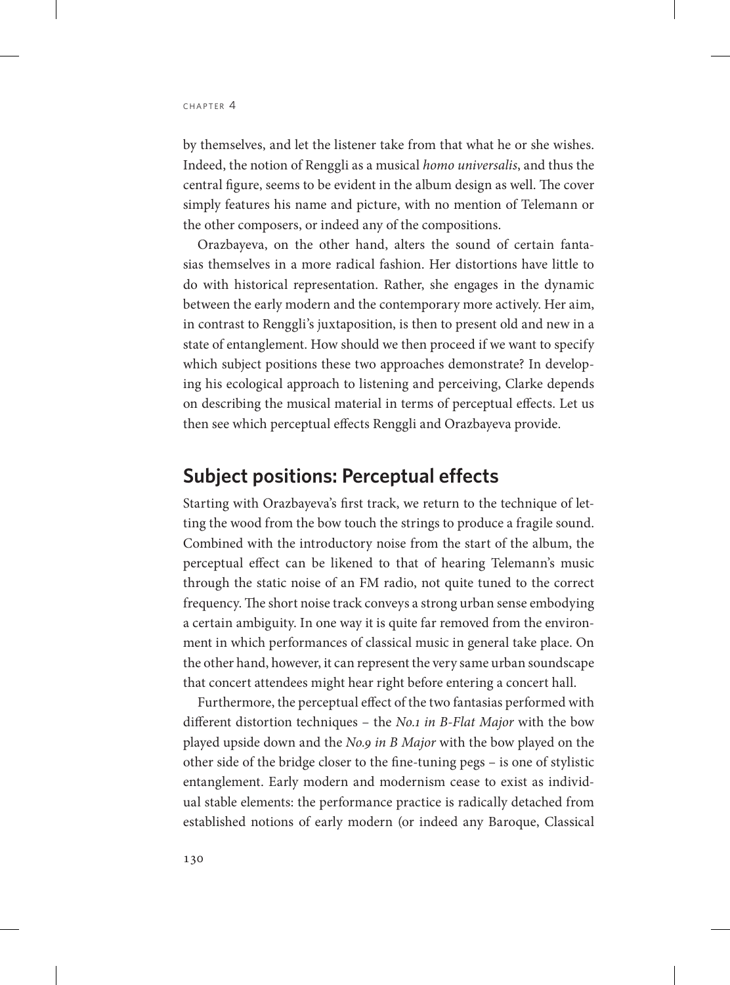by themselves, and let the listener take from that what he or she wishes. Indeed, the notion of Renggli as a musical *homo universalis*, and thus the central figure, seems to be evident in the album design as well. The cover simply features his name and picture, with no mention of Telemann or the other composers, or indeed any of the compositions.

Orazbayeva, on the other hand, alters the sound of certain fantasias themselves in a more radical fashion. Her distortions have little to do with historical representation. Rather, she engages in the dynamic between the early modern and the contemporary more actively. Her aim, in contrast to Renggli's juxtaposition, is then to present old and new in a state of entanglement. How should we then proceed if we want to specify which subject positions these two approaches demonstrate? In developing his ecological approach to listening and perceiving, Clarke depends on describing the musical material in terms of perceptual effects. Let us then see which perceptual effects Renggli and Orazbayeva provide.

## **Subject positions: Perceptual effects**

Starting with Orazbayeva's first track, we return to the technique of letting the wood from the bow touch the strings to produce a fragile sound. Combined with the introductory noise from the start of the album, the perceptual effect can be likened to that of hearing Telemann's music through the static noise of an FM radio, not quite tuned to the correct frequency. The short noise track conveys a strong urban sense embodying a certain ambiguity. In one way it is quite far removed from the environment in which performances of classical music in general take place. On the other hand, however, it can represent the very same urban soundscape that concert attendees might hear right before entering a concert hall.

Furthermore, the perceptual effect of the two fantasias performed with different distortion techniques – the *No.1 in B-Flat Major* with the bow played upside down and the *No.9 in B Major* with the bow played on the other side of the bridge closer to the fine-tuning pegs – is one of stylistic entanglement. Early modern and modernism cease to exist as individual stable elements: the performance practice is radically detached from established notions of early modern (or indeed any Baroque, Classical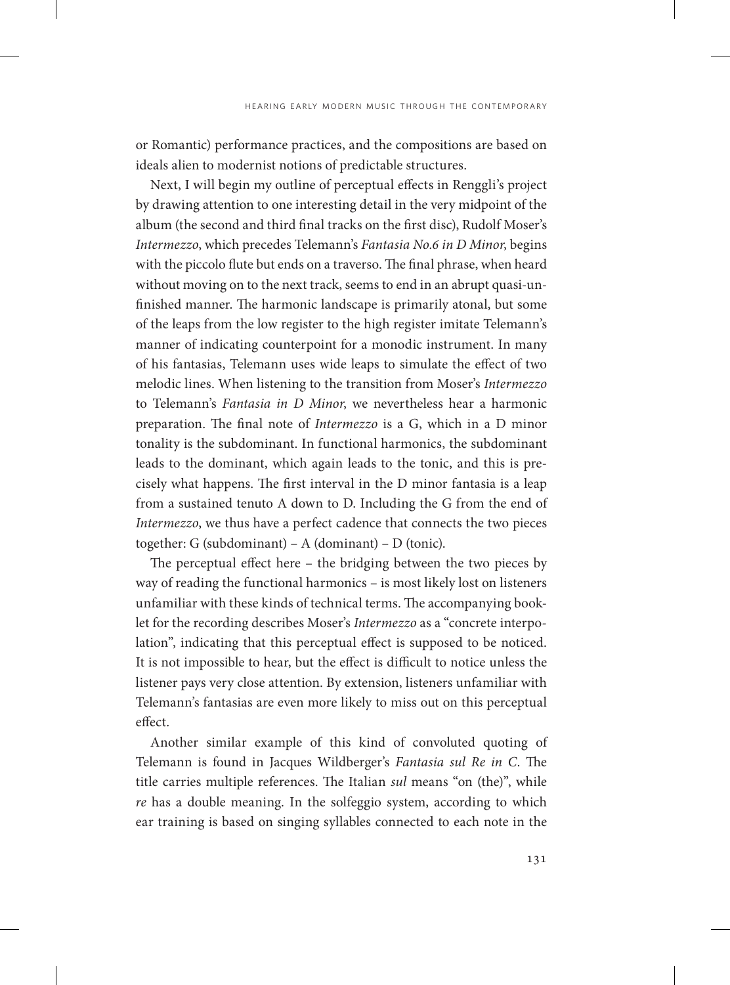or Romantic) performance practices, and the compositions are based on ideals alien to modernist notions of predictable structures.

Next, I will begin my outline of perceptual effects in Renggli's project by drawing attention to one interesting detail in the very midpoint of the album (the second and third final tracks on the first disc), Rudolf Moser's *Intermezzo*, which precedes Telemann's *Fantasia No.6 in D Minor*, begins with the piccolo flute but ends on a traverso. The final phrase, when heard without moving on to the next track, seems to end in an abrupt quasi-unfinished manner. The harmonic landscape is primarily atonal, but some of the leaps from the low register to the high register imitate Telemann's manner of indicating counterpoint for a monodic instrument. In many of his fantasias, Telemann uses wide leaps to simulate the effect of two melodic lines. When listening to the transition from Moser's *Intermezzo* to Telemann's *Fantasia in D Minor*, we nevertheless hear a harmonic preparation. The final note of *Intermezzo* is a G, which in a D minor tonality is the subdominant. In functional harmonics, the subdominant leads to the dominant, which again leads to the tonic, and this is precisely what happens. The first interval in the D minor fantasia is a leap from a sustained tenuto A down to D. Including the G from the end of *Intermezzo*, we thus have a perfect cadence that connects the two pieces together: G (subdominant) – A (dominant) – D (tonic).

The perceptual effect here – the bridging between the two pieces by way of reading the functional harmonics – is most likely lost on listeners unfamiliar with these kinds of technical terms. The accompanying booklet for the recording describes Moser's *Intermezzo* as a "concrete interpolation", indicating that this perceptual effect is supposed to be noticed. It is not impossible to hear, but the effect is difficult to notice unless the listener pays very close attention. By extension, listeners unfamiliar with Telemann's fantasias are even more likely to miss out on this perceptual effect.

Another similar example of this kind of convoluted quoting of Telemann is found in Jacques Wildberger's *Fantasia sul Re in C*. The title carries multiple references. The Italian *sul* means "on (the)", while *re* has a double meaning. In the solfeggio system, according to which ear training is based on singing syllables connected to each note in the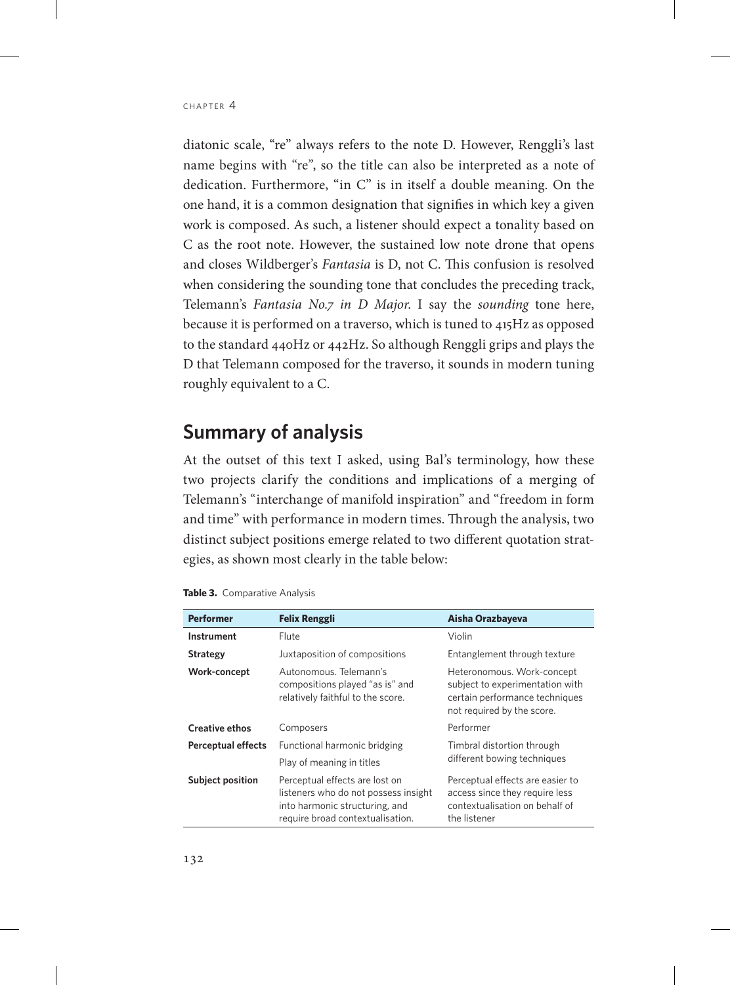diatonic scale, "re" always refers to the note D. However, Renggli's last name begins with "re", so the title can also be interpreted as a note of dedication. Furthermore, "in C" is in itself a double meaning. On the one hand, it is a common designation that signifies in which key a given work is composed. As such, a listener should expect a tonality based on C as the root note. However, the sustained low note drone that opens and closes Wildberger's *Fantasia* is D, not C. This confusion is resolved when considering the sounding tone that concludes the preceding track, Telemann's *Fantasia No.7 in D Major*. I say the *sounding* tone here, because it is performed on a traverso, which is tuned to 415Hz as opposed to the standard 440Hz or 442Hz. So although Renggli grips and plays the D that Telemann composed for the traverso, it sounds in modern tuning roughly equivalent to a C.

## **Summary of analysis**

At the outset of this text I asked, using Bal's terminology, how these two projects clarify the conditions and implications of a merging of Telemann's "interchange of manifold inspiration" and "freedom in form and time" with performance in modern times. Through the analysis, two distinct subject positions emerge related to two different quotation strategies, as shown most clearly in the table below:

| <b>Performer</b>          | <b>Felix Renggli</b>                                                                                                                         | Aisha Orazbayeva                                                                                                              |
|---------------------------|----------------------------------------------------------------------------------------------------------------------------------------------|-------------------------------------------------------------------------------------------------------------------------------|
| <b>Instrument</b>         | Flute                                                                                                                                        | Violin                                                                                                                        |
| Strategy                  | Juxtaposition of compositions                                                                                                                | Entanglement through texture                                                                                                  |
| Work-concept              | Autonomous, Telemann's<br>compositions played "as is" and<br>relatively faithful to the score.                                               | Heteronomous. Work-concept<br>subject to experimentation with<br>certain performance techniques<br>not required by the score. |
| <b>Creative ethos</b>     | Composers                                                                                                                                    | Performer                                                                                                                     |
| <b>Perceptual effects</b> | Functional harmonic bridging<br>Play of meaning in titles                                                                                    | Timbral distortion through<br>different bowing techniques                                                                     |
| <b>Subject position</b>   | Perceptual effects are lost on<br>listeners who do not possess insight<br>into harmonic structuring, and<br>require broad contextualisation. | Perceptual effects are easier to<br>access since they require less<br>contextualisation on behalf of<br>the listener          |

| Table 3. Comparative Analysis |
|-------------------------------|
|-------------------------------|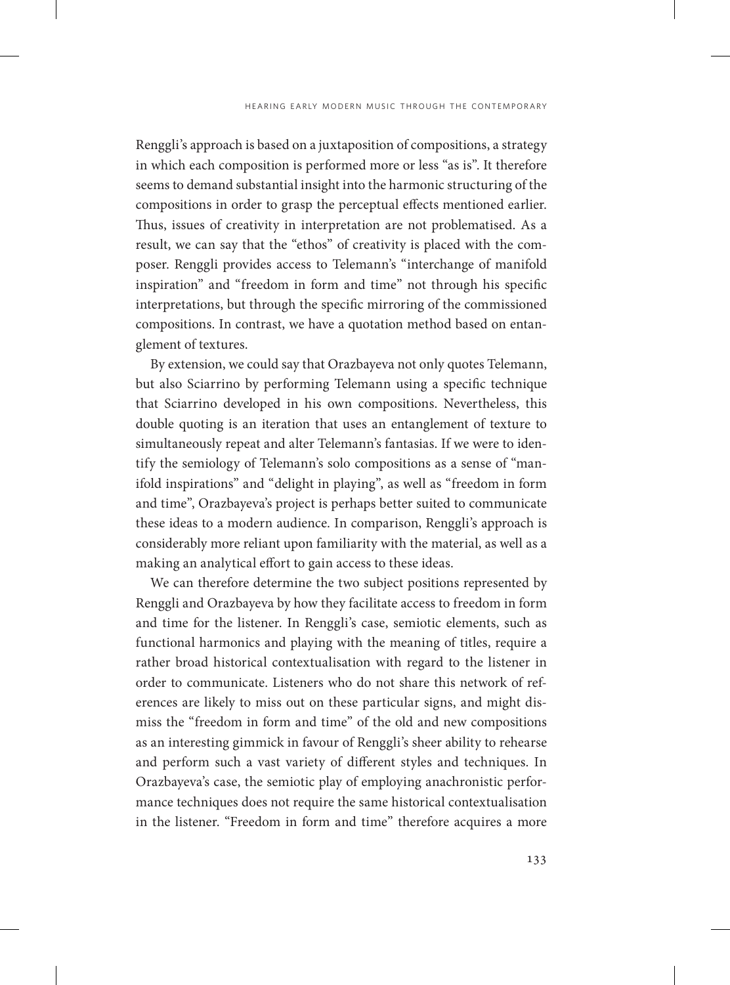Renggli's approach is based on a juxtaposition of compositions, a strategy in which each composition is performed more or less "as is". It therefore seems to demand substantial insight into the harmonic structuring of the compositions in order to grasp the perceptual effects mentioned earlier. Thus, issues of creativity in interpretation are not problematised. As a result, we can say that the "ethos" of creativity is placed with the composer. Renggli provides access to Telemann's "interchange of manifold inspiration" and "freedom in form and time" not through his specific interpretations, but through the specific mirroring of the commissioned compositions. In contrast, we have a quotation method based on entanglement of textures.

By extension, we could say that Orazbayeva not only quotes Telemann, but also Sciarrino by performing Telemann using a specific technique that Sciarrino developed in his own compositions. Nevertheless, this double quoting is an iteration that uses an entanglement of texture to simultaneously repeat and alter Telemann's fantasias. If we were to identify the semiology of Telemann's solo compositions as a sense of "manifold inspirations" and "delight in playing", as well as "freedom in form and time", Orazbayeva's project is perhaps better suited to communicate these ideas to a modern audience. In comparison, Renggli's approach is considerably more reliant upon familiarity with the material, as well as a making an analytical effort to gain access to these ideas.

We can therefore determine the two subject positions represented by Renggli and Orazbayeva by how they facilitate access to freedom in form and time for the listener. In Renggli's case, semiotic elements, such as functional harmonics and playing with the meaning of titles, require a rather broad historical contextualisation with regard to the listener in order to communicate. Listeners who do not share this network of references are likely to miss out on these particular signs, and might dismiss the "freedom in form and time" of the old and new compositions as an interesting gimmick in favour of Renggli's sheer ability to rehearse and perform such a vast variety of different styles and techniques. In Orazbayeva's case, the semiotic play of employing anachronistic performance techniques does not require the same historical contextualisation in the listener. "Freedom in form and time" therefore acquires a more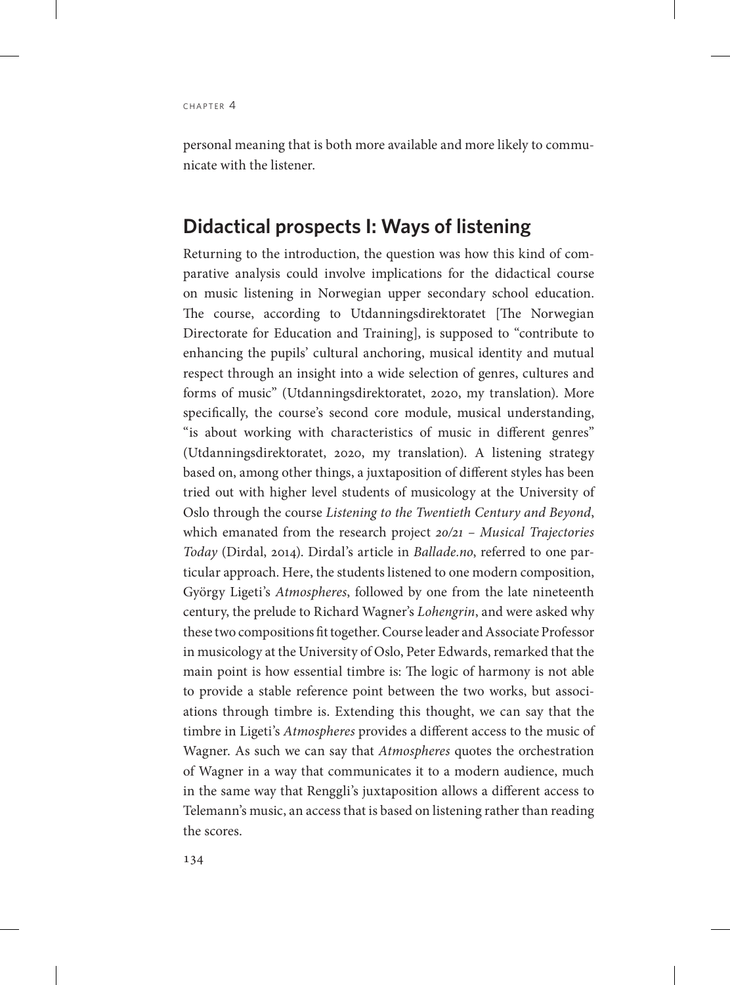personal meaning that is both more available and more likely to communicate with the listener.

## **Didactical prospects I: Ways of listening**

Returning to the introduction, the question was how this kind of comparative analysis could involve implications for the didactical course on music listening in Norwegian upper secondary school education. The course, according to Utdanningsdirektoratet [The Norwegian Directorate for Education and Training], is supposed to "contribute to enhancing the pupils' cultural anchoring, musical identity and mutual respect through an insight into a wide selection of genres, cultures and forms of music" (Utdanningsdirektoratet, 2020, my translation). More specifically, the course's second core module, musical understanding, "is about working with characteristics of music in different genres" (Utdanningsdirektoratet, 2020, my translation). A listening strategy based on, among other things, a juxtaposition of different styles has been tried out with higher level students of musicology at the University of Oslo through the course *Listening to the Twentieth Century and Beyond*, which emanated from the research project *20/21 – Musical Trajectories Today* (Dirdal, 2014). Dirdal's article in *Ballade.no*, referred to one particular approach. Here, the students listened to one modern composition, György Ligeti's *Atmospheres*, followed by one from the late nineteenth century, the prelude to Richard Wagner's *Lohengrin*, and were asked why these two compositions fit together. Course leader and Associate Professor in musicology at the University of Oslo, Peter Edwards, remarked that the main point is how essential timbre is: The logic of harmony is not able to provide a stable reference point between the two works, but associations through timbre is. Extending this thought, we can say that the timbre in Ligeti's *Atmospheres* provides a different access to the music of Wagner. As such we can say that *Atmospheres* quotes the orchestration of Wagner in a way that communicates it to a modern audience, much in the same way that Renggli's juxtaposition allows a different access to Telemann's music, an access that is based on listening rather than reading the scores.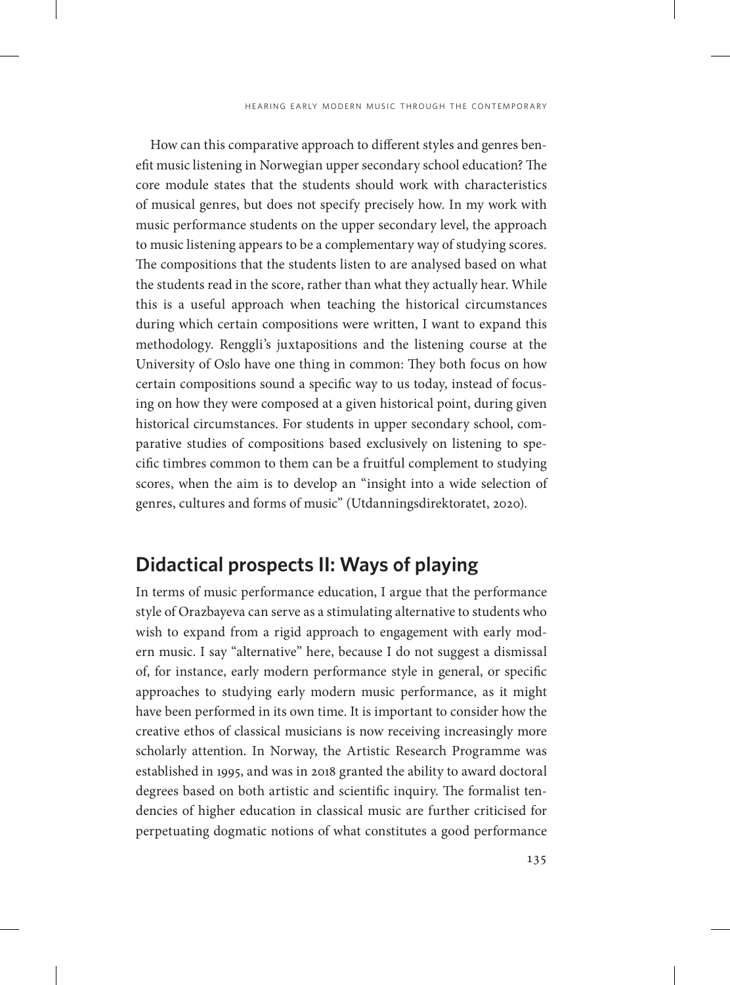How can this comparative approach to different styles and genres benefit music listening in Norwegian upper secondary school education? The core module states that the students should work with characteristics of musical genres, but does not specify precisely how. In my work with music performance students on the upper secondary level, the approach to music listening appears to be a complementary way of studying scores. The compositions that the students listen to are analysed based on what the students read in the score, rather than what they actually hear. While this is a useful approach when teaching the historical circumstances during which certain compositions were written, I want to expand this methodology. Renggli's juxtapositions and the listening course at the University of Oslo have one thing in common: They both focus on how certain compositions sound a specific way to us today, instead of focusing on how they were composed at a given historical point, during given historical circumstances. For students in upper secondary school, comparative studies of compositions based exclusively on listening to specific timbres common to them can be a fruitful complement to studying scores, when the aim is to develop an "insight into a wide selection of genres, cultures and forms of music" (Utdanningsdirektoratet, 2020).

## **Didactical prospects II: Ways of playing**

In terms of music performance education, I argue that the performance style of Orazbayeva can serve as a stimulating alternative to students who wish to expand from a rigid approach to engagement with early modern music. I say "alternative" here, because I do not suggest a dismissal of, for instance, early modern performance style in general, or specific approaches to studying early modern music performance, as it might have been performed in its own time. It is important to consider how the creative ethos of classical musicians is now receiving increasingly more scholarly attention. In Norway, the Artistic Research Programme was established in 1995, and was in 2018 granted the ability to award doctoral degrees based on both artistic and scientific inquiry. The formalist tendencies of higher education in classical music are further criticised for perpetuating dogmatic notions of what constitutes a good performance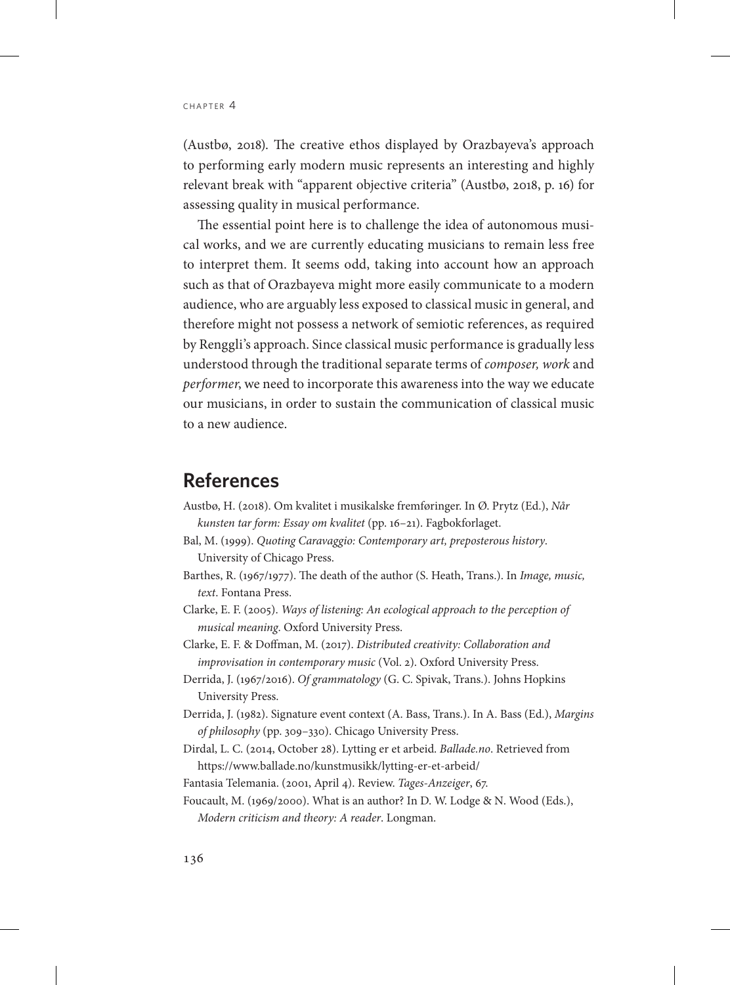(Austbø, 2018). The creative ethos displayed by Orazbayeva's approach to performing early modern music represents an interesting and highly relevant break with "apparent objective criteria" (Austbø, 2018, p. 16) for assessing quality in musical performance.

The essential point here is to challenge the idea of autonomous musical works, and we are currently educating musicians to remain less free to interpret them. It seems odd, taking into account how an approach such as that of Orazbayeva might more easily communicate to a modern audience, who are arguably less exposed to classical music in general, and therefore might not possess a network of semiotic references, as required by Renggli's approach. Since classical music performance is gradually less understood through the traditional separate terms of *composer, work* and *performer*, we need to incorporate this awareness into the way we educate our musicians, in order to sustain the communication of classical music to a new audience.

## **References**

- Austbø, H. (2018). Om kvalitet i musikalske fremføringer. In Ø. Prytz (Ed.), *Når kunsten tar form: Essay om kvalitet* (pp. 16–21). Fagbokforlaget.
- Bal, M. (1999). *Quoting Caravaggio: Contemporary art, preposterous history*. University of Chicago Press.
- Barthes, R. (1967/1977). The death of the author (S. Heath, Trans.). In *Image, music, text*. Fontana Press.
- Clarke, E. F. (2005). *Ways of listening: An ecological approach to the perception of musical meaning*. Oxford University Press.
- Clarke, E. F. & Doffman, M. (2017). *Distributed creativity: Collaboration and improvisation in contemporary music* (Vol. 2). Oxford University Press.
- Derrida, J. (1967/2016). *Of grammatology* (G. C. Spivak, Trans.). Johns Hopkins University Press.
- Derrida, J. (1982). Signature event context (A. Bass, Trans.). In A. Bass (Ed.), *Margins of philosophy* (pp. 309–330). Chicago University Press.
- Dirdal, L. C. (2014, October 28). Lytting er et arbeid. *Ballade.no*. Retrieved from https://www.ballade.no/kunstmusikk/lytting-er-et-arbeid/
- Fantasia Telemania. (2001, April 4). Review. *Tages-Anzeiger*, 67.
- Foucault, M. (1969/2000). What is an author? In D. W. Lodge & N. Wood (Eds.), *Modern criticism and theory: A reader*. Longman.